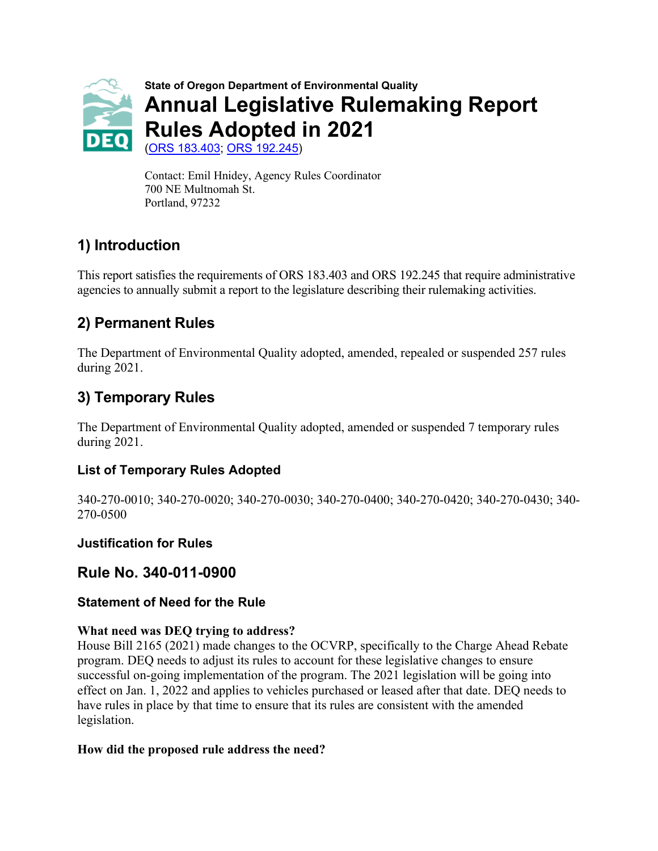

Contact: Emil Hnidey, Agency Rules Coordinator 700 NE Multnomah St. Portland, 97232

# **1) Introduction**

This report satisfies the requirements of ORS 183.403 and ORS 192.245 that require administrative agencies to annually submit a report to the legislature describing their rulemaking activities.

# **2) Permanent Rules**

The Department of Environmental Quality adopted, amended, repealed or suspended 257 rules during 2021.

## **3) Temporary Rules**

The Department of Environmental Quality adopted, amended or suspended 7 temporary rules during 2021.

### **List of Temporary Rules Adopted**

340-270-0010; 340-270-0020; 340-270-0030; 340-270-0400; 340-270-0420; 340-270-0430; 340- 270-0500

### **Justification for Rules**

## **Rule No. 340-011-0900**

### **Statement of Need for the Rule**

### **What need was DEQ trying to address?**

House Bill 2165 (2021) made changes to the OCVRP, specifically to the Charge Ahead Rebate program. DEQ needs to adjust its rules to account for these legislative changes to ensure successful on-going implementation of the program. The 2021 legislation will be going into effect on Jan. 1, 2022 and applies to vehicles purchased or leased after that date. DEQ needs to have rules in place by that time to ensure that its rules are consistent with the amended legislation.

#### **How did the proposed rule address the need?**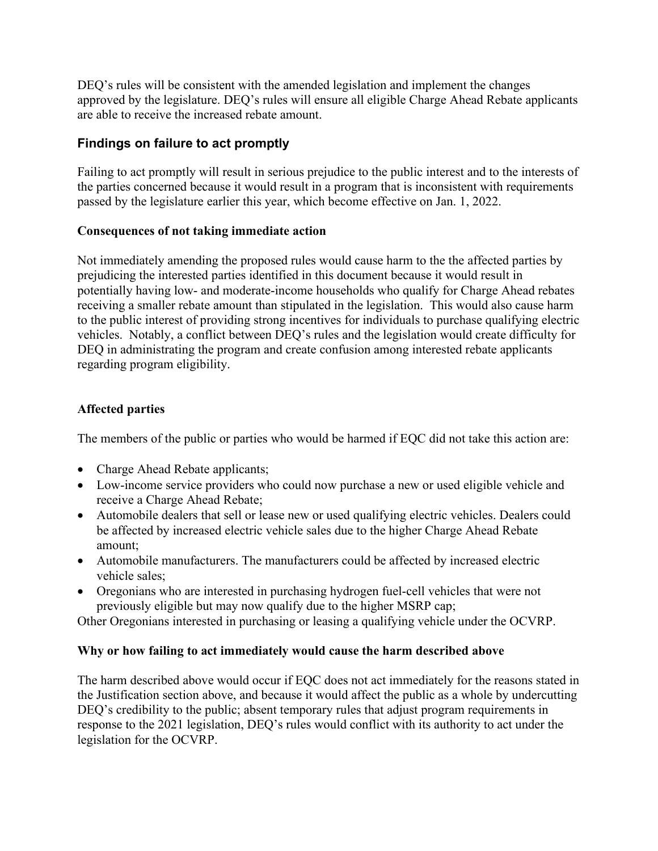DEQ's rules will be consistent with the amended legislation and implement the changes approved by the legislature. DEQ's rules will ensure all eligible Charge Ahead Rebate applicants are able to receive the increased rebate amount.

### **Findings on failure to act promptly**

Failing to act promptly will result in serious prejudice to the public interest and to the interests of the parties concerned because it would result in a program that is inconsistent with requirements passed by the legislature earlier this year, which become effective on Jan. 1, 2022.

#### **Consequences of not taking immediate action**

Not immediately amending the proposed rules would cause harm to the the affected parties by prejudicing the interested parties identified in this document because it would result in potentially having low- and moderate-income households who qualify for Charge Ahead rebates receiving a smaller rebate amount than stipulated in the legislation. This would also cause harm to the public interest of providing strong incentives for individuals to purchase qualifying electric vehicles. Notably, a conflict between DEQ's rules and the legislation would create difficulty for DEQ in administrating the program and create confusion among interested rebate applicants regarding program eligibility.

#### **Affected parties**

The members of the public or parties who would be harmed if EQC did not take this action are:

- Charge Ahead Rebate applicants;
- Low-income service providers who could now purchase a new or used eligible vehicle and receive a Charge Ahead Rebate;
- Automobile dealers that sell or lease new or used qualifying electric vehicles. Dealers could be affected by increased electric vehicle sales due to the higher Charge Ahead Rebate amount;
- Automobile manufacturers. The manufacturers could be affected by increased electric vehicle sales;
- Oregonians who are interested in purchasing hydrogen fuel-cell vehicles that were not previously eligible but may now qualify due to the higher MSRP cap;

Other Oregonians interested in purchasing or leasing a qualifying vehicle under the OCVRP.

### **Why or how failing to act immediately would cause the harm described above**

The harm described above would occur if EQC does not act immediately for the reasons stated in the Justification section above, and because it would affect the public as a whole by undercutting DEQ's credibility to the public; absent temporary rules that adjust program requirements in response to the 2021 legislation, DEQ's rules would conflict with its authority to act under the legislation for the OCVRP.